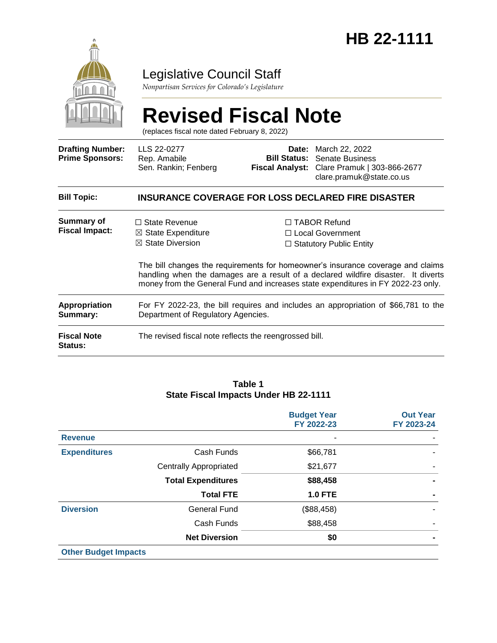

### Legislative Council Staff

*Nonpartisan Services for Colorado's Legislature*

# **Revised Fiscal Note**

(replaces fiscal note dated February 8, 2022)

| <b>Drafting Number:</b><br><b>Prime Sponsors:</b> | LLS 22-0277<br>Rep. Amabile<br>Sen. Rankin; Fenberg                                                                                                                                                                                                       | Date:                          | March 22, 2022<br><b>Bill Status: Senate Business</b><br>Fiscal Analyst: Clare Pramuk   303-866-2677<br>clare.pramuk@state.co.us |  |  |
|---------------------------------------------------|-----------------------------------------------------------------------------------------------------------------------------------------------------------------------------------------------------------------------------------------------------------|--------------------------------|----------------------------------------------------------------------------------------------------------------------------------|--|--|
| <b>Bill Topic:</b>                                | <b>INSURANCE COVERAGE FOR LOSS DECLARED FIRE DISASTER</b>                                                                                                                                                                                                 |                                |                                                                                                                                  |  |  |
| Summary of<br><b>Fiscal Impact:</b>               | $\Box$ State Revenue<br>$\boxtimes$ State Expenditure                                                                                                                                                                                                     |                                | $\Box$ TABOR Refund<br>□ Local Government                                                                                        |  |  |
|                                                   | $\boxtimes$ State Diversion                                                                                                                                                                                                                               | $\Box$ Statutory Public Entity |                                                                                                                                  |  |  |
|                                                   | The bill changes the requirements for homeowner's insurance coverage and claims<br>handling when the damages are a result of a declared wildfire disaster. It diverts<br>money from the General Fund and increases state expenditures in FY 2022-23 only. |                                |                                                                                                                                  |  |  |
| <b>Appropriation</b><br>Summary:                  | For FY 2022-23, the bill requires and includes an appropriation of \$66,781 to the<br>Department of Regulatory Agencies.                                                                                                                                  |                                |                                                                                                                                  |  |  |
| <b>Fiscal Note</b><br>Status:                     | The revised fiscal note reflects the reengrossed bill.                                                                                                                                                                                                    |                                |                                                                                                                                  |  |  |

#### **Table 1 State Fiscal Impacts Under HB 22-1111**

|                             |                               | <b>Budget Year</b><br>FY 2022-23 | <b>Out Year</b><br>FY 2023-24 |
|-----------------------------|-------------------------------|----------------------------------|-------------------------------|
| <b>Revenue</b>              |                               |                                  |                               |
| <b>Expenditures</b>         | Cash Funds                    | \$66,781                         |                               |
|                             | <b>Centrally Appropriated</b> | \$21,677                         |                               |
|                             | <b>Total Expenditures</b>     | \$88,458                         |                               |
|                             | <b>Total FTE</b>              | <b>1.0 FTE</b>                   |                               |
| <b>Diversion</b>            | <b>General Fund</b>           | (\$88,458)                       |                               |
|                             | Cash Funds                    | \$88,458                         |                               |
|                             | <b>Net Diversion</b>          | \$0                              |                               |
| <b>Other Budget Impacts</b> |                               |                                  |                               |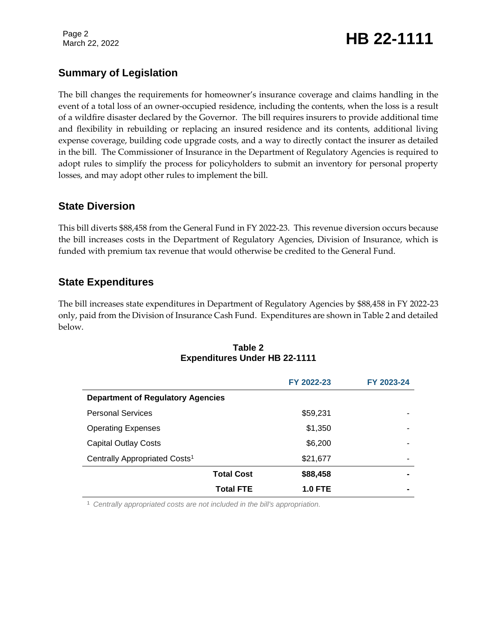Page 2

## Page 2<br>March 22, 2022 **HB 22-1111**

#### **Summary of Legislation**

The bill changes the requirements for homeowner's insurance coverage and claims handling in the event of a total loss of an owner-occupied residence, including the contents, when the loss is a result of a wildfire disaster declared by the Governor. The bill requires insurers to provide additional time and flexibility in rebuilding or replacing an insured residence and its contents, additional living expense coverage, building code upgrade costs, and a way to directly contact the insurer as detailed in the bill. The Commissioner of Insurance in the Department of Regulatory Agencies is required to adopt rules to simplify the process for policyholders to submit an inventory for personal property losses, and may adopt other rules to implement the bill.

#### **State Diversion**

This bill diverts \$88,458 from the General Fund in FY 2022-23. This revenue diversion occurs because the bill increases costs in the Department of Regulatory Agencies, Division of Insurance, which is funded with premium tax revenue that would otherwise be credited to the General Fund.

#### **State Expenditures**

The bill increases state expenditures in Department of Regulatory Agencies by \$88,458 in FY 2022-23 only, paid from the Division of Insurance Cash Fund. Expenditures are shown in Table 2 and detailed below.

|                                           | FY 2022-23     | FY 2023-24     |  |  |
|-------------------------------------------|----------------|----------------|--|--|
| <b>Department of Regulatory Agencies</b>  |                |                |  |  |
| <b>Personal Services</b>                  | \$59,231       | -              |  |  |
| <b>Operating Expenses</b>                 | \$1,350        |                |  |  |
| <b>Capital Outlay Costs</b>               | \$6,200        |                |  |  |
| Centrally Appropriated Costs <sup>1</sup> | \$21,677       | ۰              |  |  |
| <b>Total Cost</b>                         | \$88,458       | $\blacksquare$ |  |  |
| <b>Total FTE</b>                          | <b>1.0 FTE</b> | $\blacksquare$ |  |  |

**Table 2 Expenditures Under HB 22-1111**

<sup>1</sup> *Centrally appropriated costs are not included in the bill's appropriation.*